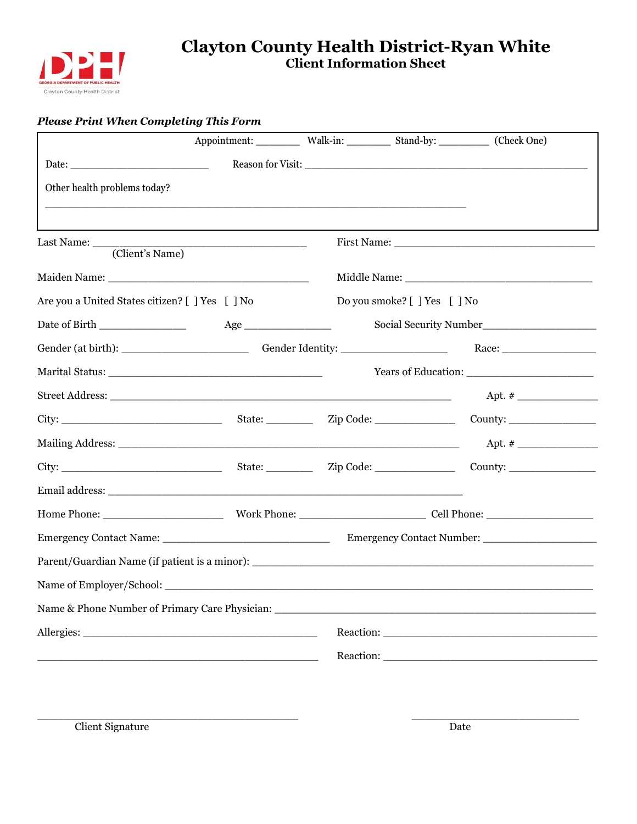

### **Clayton County Health District-Ryan White Client Information Sheet**

### *Please Print When Completing This Form*

|                                                 |                                                                                                                        | Appointment: ___________ Walk-in: ___________ Stand-by: __________ (Check One) |         |
|-------------------------------------------------|------------------------------------------------------------------------------------------------------------------------|--------------------------------------------------------------------------------|---------|
|                                                 |                                                                                                                        |                                                                                |         |
| Other health problems today?                    |                                                                                                                        |                                                                                |         |
|                                                 |                                                                                                                        |                                                                                |         |
| (Client's Name)                                 | <u> 1989 - Johann Stein, fransk politik (d. 1989)</u>                                                                  |                                                                                |         |
|                                                 |                                                                                                                        |                                                                                |         |
| Are you a United States citizen? [ ] Yes [ ] No |                                                                                                                        | Do you smoke? [ ] Yes [ ] No                                                   |         |
| Date of Birth _______________                   |                                                                                                                        |                                                                                |         |
|                                                 |                                                                                                                        |                                                                                |         |
|                                                 |                                                                                                                        |                                                                                |         |
|                                                 |                                                                                                                        |                                                                                |         |
| City:                                           |                                                                                                                        |                                                                                | County: |
|                                                 |                                                                                                                        |                                                                                |         |
|                                                 |                                                                                                                        |                                                                                |         |
|                                                 |                                                                                                                        |                                                                                |         |
|                                                 |                                                                                                                        |                                                                                |         |
|                                                 |                                                                                                                        |                                                                                |         |
| Parent/Guardian Name (if patient is a minor):   |                                                                                                                        |                                                                                |         |
| Name of Employer/School:                        |                                                                                                                        |                                                                                |         |
|                                                 |                                                                                                                        |                                                                                |         |
|                                                 |                                                                                                                        |                                                                                |         |
|                                                 | <u> 1989 - Johann Barn, mars ann an t-Amhain ann an t-Amhain an t-Amhain an t-Amhain an t-Amhain an t-Amhain an t-</u> |                                                                                |         |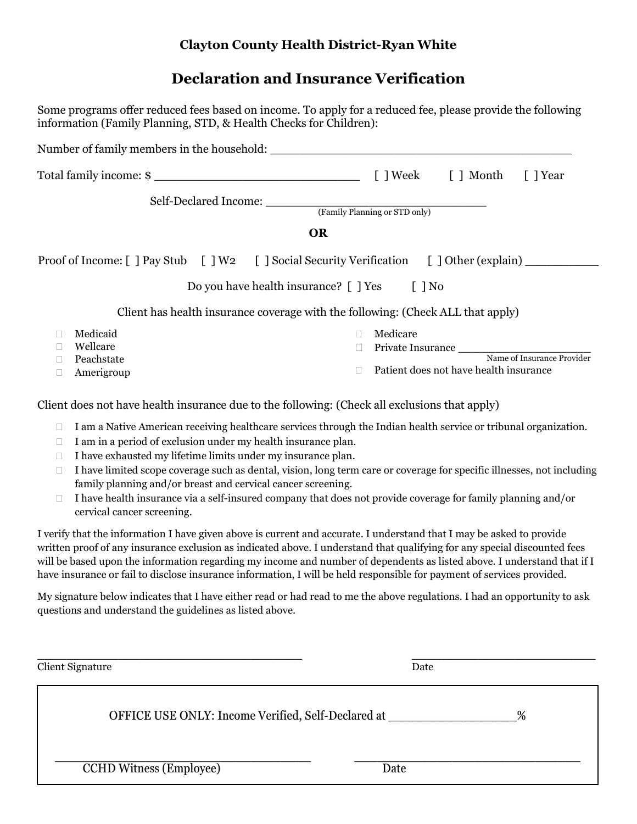### **Clayton County Health District-Ryan White**

# **Declaration and Insurance Verification**

Some programs offer reduced fees based on income. To apply for a reduced fee, please provide the following

| information (Family Planning, STD, & Health Checks for Children):                                                                                                                                                                                                                                                                                                            |                                                                                                                                                                                                                                                                                                                                                            |
|------------------------------------------------------------------------------------------------------------------------------------------------------------------------------------------------------------------------------------------------------------------------------------------------------------------------------------------------------------------------------|------------------------------------------------------------------------------------------------------------------------------------------------------------------------------------------------------------------------------------------------------------------------------------------------------------------------------------------------------------|
|                                                                                                                                                                                                                                                                                                                                                                              |                                                                                                                                                                                                                                                                                                                                                            |
| Total family income: \$                                                                                                                                                                                                                                                                                                                                                      | [ ] Week<br>[ ] Year<br>[ ] Month                                                                                                                                                                                                                                                                                                                          |
| Self-Declared Income:                                                                                                                                                                                                                                                                                                                                                        | (Family Planning or STD only)<br><b>OR</b>                                                                                                                                                                                                                                                                                                                 |
| Proof of Income: [ ] Pay Stub [ ] W2 [ ] Social Security Verification [ ] Other (explain) ________<br>Do you have health insurance? [ ] Yes                                                                                                                                                                                                                                  | $\lceil \; \rceil$ No                                                                                                                                                                                                                                                                                                                                      |
|                                                                                                                                                                                                                                                                                                                                                                              | Client has health insurance coverage with the following: (Check ALL that apply)                                                                                                                                                                                                                                                                            |
| Medicaid<br>u<br>Wellcare<br>Peachstate<br>$\Box$<br>Amerigroup<br>□                                                                                                                                                                                                                                                                                                         | Medicare<br>$\Box$<br>Private Insurance Name of Insurance Provider<br>$\Box$<br>Patient does not have health insurance<br>П                                                                                                                                                                                                                                |
| Client does not have health insurance due to the following: (Check all exclusions that apply)<br>$\Box$<br>I am in a period of exclusion under my health insurance plan.<br>□<br>I have exhausted my lifetime limits under my insurance plan.<br>$\Box$<br>$\Box$<br>family planning and/or breast and cervical cancer screening.<br>$\Box$<br>cervical cancer screening.    | I am a Native American receiving healthcare services through the Indian health service or tribunal organization.<br>I have limited scope coverage such as dental, vision, long term care or coverage for specific illnesses, not including<br>I have health insurance via a self-insured company that does not provide coverage for family planning and/or |
| I verify that the information I have given above is current and accurate. I understand that I may be asked to provide<br>written proof of any insurance exclusion as indicated above. I understand that qualifying for any special discounted fees<br>have insurance or fail to disclose insurance information, I will be held responsible for payment of services provided. | will be based upon the information regarding my income and number of dependents as listed above. I understand that if I                                                                                                                                                                                                                                    |
| My signature below indicates that I have either read or had read to me the above regulations. I had an opportunity to ask<br>questions and understand the guidelines as listed above.                                                                                                                                                                                        |                                                                                                                                                                                                                                                                                                                                                            |
| Client Signature                                                                                                                                                                                                                                                                                                                                                             | Date                                                                                                                                                                                                                                                                                                                                                       |
| OFFICE USE ONLY: Income Verified, Self-Declared at                                                                                                                                                                                                                                                                                                                           | %                                                                                                                                                                                                                                                                                                                                                          |
| <b>CCHD Witness (Employee)</b>                                                                                                                                                                                                                                                                                                                                               | Date                                                                                                                                                                                                                                                                                                                                                       |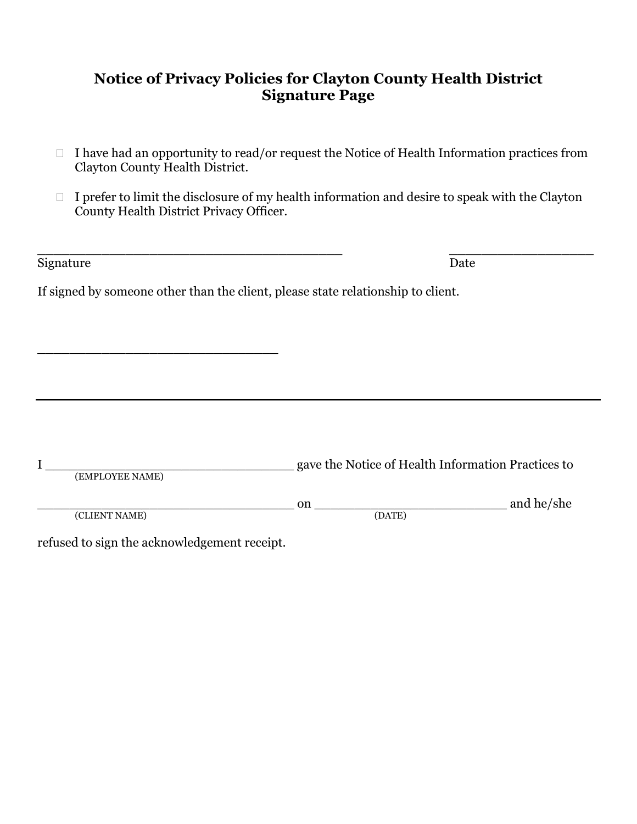### **Notice of Privacy Policies for Clayton County Health District Signature Page**

- $\Box$  I have had an opportunity to read/or request the Notice of Health Information practices from Clayton County Health District.
- $\Box$  I prefer to limit the disclosure of my health information and desire to speak with the Clayton County Health District Privacy Officer.

| Signature                                                                        |        | Date                                               |
|----------------------------------------------------------------------------------|--------|----------------------------------------------------|
| If signed by someone other than the client, please state relationship to client. |        |                                                    |
|                                                                                  |        |                                                    |
|                                                                                  |        |                                                    |
|                                                                                  |        |                                                    |
|                                                                                  |        |                                                    |
|                                                                                  |        |                                                    |
| (EMPLOYEE NAME)                                                                  |        | gave the Notice of Health Information Practices to |
|                                                                                  | on     | and he/she                                         |
| (CLIENT NAME)                                                                    | (DATE) |                                                    |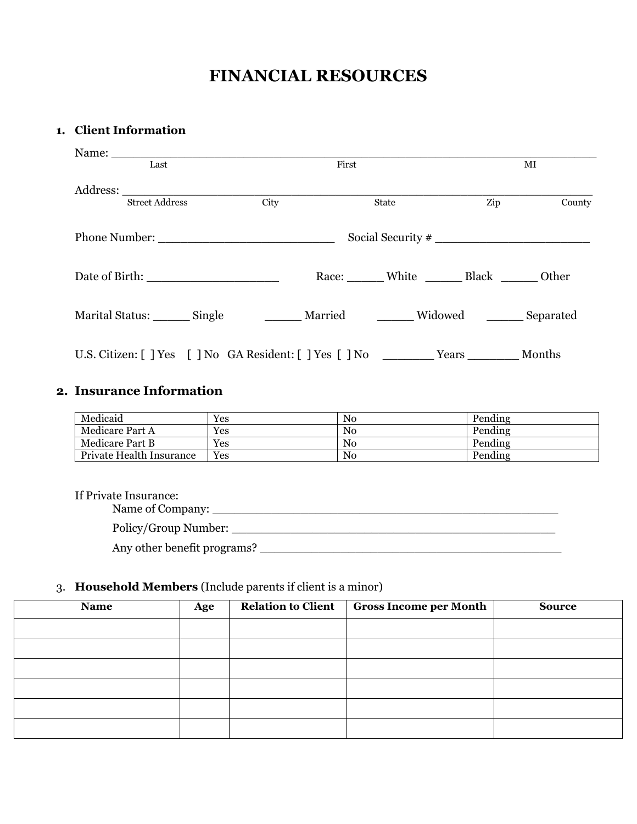# **FINANCIAL RESOURCES**

### **1. Client Information**

| Last                                                                                | First |                                 |     | MI     |
|-------------------------------------------------------------------------------------|-------|---------------------------------|-----|--------|
| Street Address                                                                      | City  | State                           | Zip | County |
|                                                                                     |       |                                 |     |        |
|                                                                                     |       | Race: White Black _______ Other |     |        |
| Marital Status: _______ Single _________ Married ________ Widowed _______ Separated |       |                                 |     |        |
| U.S. Citizen: [] Yes [] No GA Resident: [] Yes [] No Years Months                   |       |                                 |     |        |

### **2. Insurance Information**

| Medicaid                 | Yes | N <sub>0</sub> | Pending |
|--------------------------|-----|----------------|---------|
| Medicare Part A          | Yes | N <sub>0</sub> | Pending |
| <b>Medicare Part B</b>   | Yes | N <sub>0</sub> | Pending |
| Private Health Insurance | Yes | N <sub>0</sub> | Pending |

#### If Private Insurance:

Name of Company: \_\_\_\_\_\_\_\_\_\_\_\_\_\_\_\_\_\_\_\_\_\_\_\_\_\_\_\_\_\_\_\_\_\_\_\_\_\_\_\_\_\_\_\_\_\_\_

Policy/Group Number: \_\_\_\_\_\_\_\_\_\_\_\_\_\_\_\_\_\_\_\_\_\_\_\_\_\_\_\_\_\_\_\_\_\_\_\_\_\_\_\_\_\_\_\_

Any other benefit programs? \_\_\_\_\_\_\_\_\_\_\_\_\_\_\_\_\_\_\_\_\_\_\_\_\_\_\_\_\_\_\_\_\_\_\_\_\_\_\_\_\_

### 3. **Household Members** (Include parents if client is a minor)

| <b>Name</b> | Age | <b>Relation to Client</b> | <b>Gross Income per Month</b> | <b>Source</b> |
|-------------|-----|---------------------------|-------------------------------|---------------|
|             |     |                           |                               |               |
|             |     |                           |                               |               |
|             |     |                           |                               |               |
|             |     |                           |                               |               |
|             |     |                           |                               |               |
|             |     |                           |                               |               |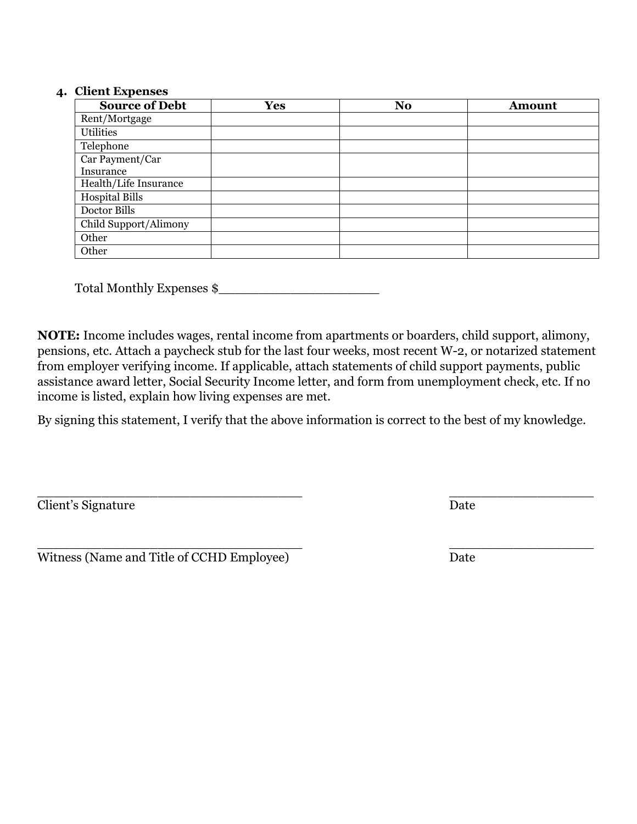### **4. Client Expenses**

| <b>Source of Debt</b> | <b>Yes</b> | N <sub>o</sub> | <b>Amount</b> |
|-----------------------|------------|----------------|---------------|
| Rent/Mortgage         |            |                |               |
| Utilities             |            |                |               |
| Telephone             |            |                |               |
| Car Payment/Car       |            |                |               |
| Insurance             |            |                |               |
| Health/Life Insurance |            |                |               |
| Hospital Bills        |            |                |               |
| Doctor Bills          |            |                |               |
| Child Support/Alimony |            |                |               |
| Other                 |            |                |               |
| Other                 |            |                |               |

Total Monthly Expenses  $\frac{1}{2}$ 

**NOTE:** Income includes wages, rental income from apartments or boarders, child support, alimony, pensions, etc. Attach a paycheck stub for the last four weeks, most recent W-2, or notarized statement from employer verifying income. If applicable, attach statements of child support payments, public assistance award letter, Social Security Income letter, and form from unemployment check, etc. If no income is listed, explain how living expenses are met.

By signing this statement, I verify that the above information is correct to the best of my knowledge.

\_\_\_\_\_\_\_\_\_\_\_\_\_\_\_\_\_\_\_\_\_\_\_\_\_\_\_\_\_\_\_\_\_ \_\_\_\_\_\_\_\_\_\_\_\_\_\_\_\_\_\_ **Client's Signature** Date

\_\_\_\_\_\_\_\_\_\_\_\_\_\_\_\_\_\_\_\_\_\_\_\_\_\_\_\_\_\_\_\_\_ \_\_\_\_\_\_\_\_\_\_\_\_\_\_\_\_\_\_ Witness (Name and Title of CCHD Employee) Date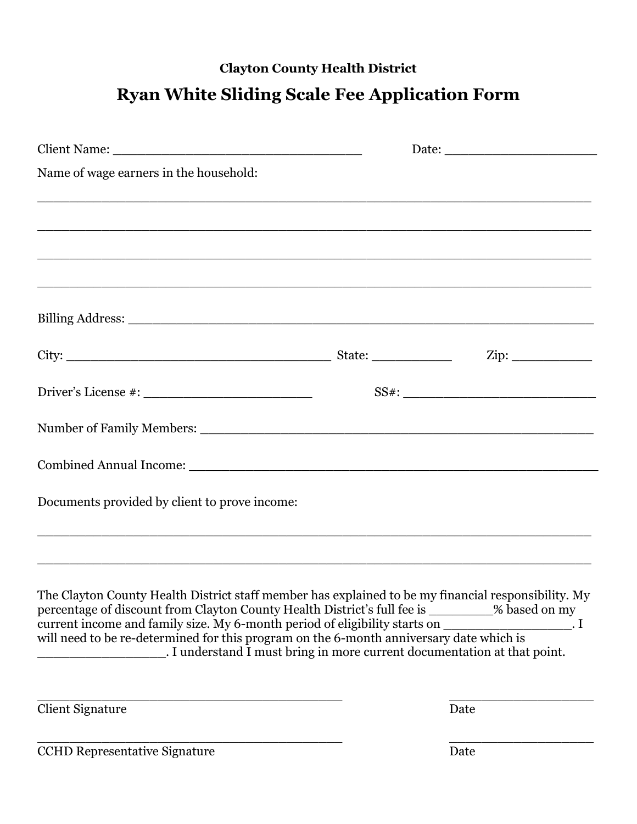## **Clayton County Health District**

# **Ryan White Sliding Scale Fee Application Form**

| Name of wage earners in the household:                                                                                                                                                                                                                                                                                                                                                                                                                      |                              |
|-------------------------------------------------------------------------------------------------------------------------------------------------------------------------------------------------------------------------------------------------------------------------------------------------------------------------------------------------------------------------------------------------------------------------------------------------------------|------------------------------|
|                                                                                                                                                                                                                                                                                                                                                                                                                                                             |                              |
|                                                                                                                                                                                                                                                                                                                                                                                                                                                             |                              |
|                                                                                                                                                                                                                                                                                                                                                                                                                                                             |                              |
| <u> 1989 - Jan Barnett, mars eta bat da, eta bat da, eta bat da, eta bat da, eta bat da, eta bat da, eta bat da,</u>                                                                                                                                                                                                                                                                                                                                        |                              |
|                                                                                                                                                                                                                                                                                                                                                                                                                                                             |                              |
|                                                                                                                                                                                                                                                                                                                                                                                                                                                             |                              |
|                                                                                                                                                                                                                                                                                                                                                                                                                                                             |                              |
|                                                                                                                                                                                                                                                                                                                                                                                                                                                             |                              |
|                                                                                                                                                                                                                                                                                                                                                                                                                                                             |                              |
| Documents provided by client to prove income:                                                                                                                                                                                                                                                                                                                                                                                                               |                              |
|                                                                                                                                                                                                                                                                                                                                                                                                                                                             |                              |
| The Clayton County Health District staff member has explained to be my financial responsibility. My<br>percentage of discount from Clayton County Health District's full fee is _________% based on my<br>current income and family size. My 6-month period of eligibility starts on<br>will need to be re-determined for this program on the 6-month anniversary date which is<br>. I understand I must bring in more current documentation at that point. | $\overline{\phantom{a}}$ . I |
| <b>Client Signature</b>                                                                                                                                                                                                                                                                                                                                                                                                                                     | Date                         |

CCHD Representative Signature  $\qquad \qquad$  Date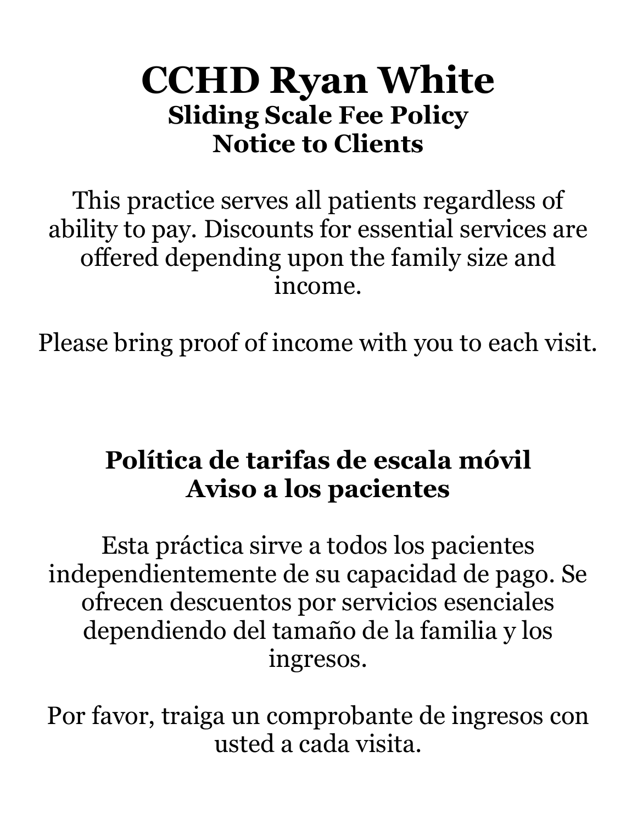# **CCHD Ryan White Sliding Scale Fee Policy Notice to Clients**

This practice serves all patients regardless of ability to pay. Discounts for essential services are offered depending upon the family size and income.

Please bring proof of income with you to each visit.

# **Política de tarifas de escala móvil Aviso a los pacientes**

Esta práctica sirve a todos los pacientes independientemente de su capacidad de pago. Se ofrecen descuentos por servicios esenciales dependiendo del tamaño de la familia y los ingresos.

Por favor, traiga un comprobante de ingresos con usted a cada visita.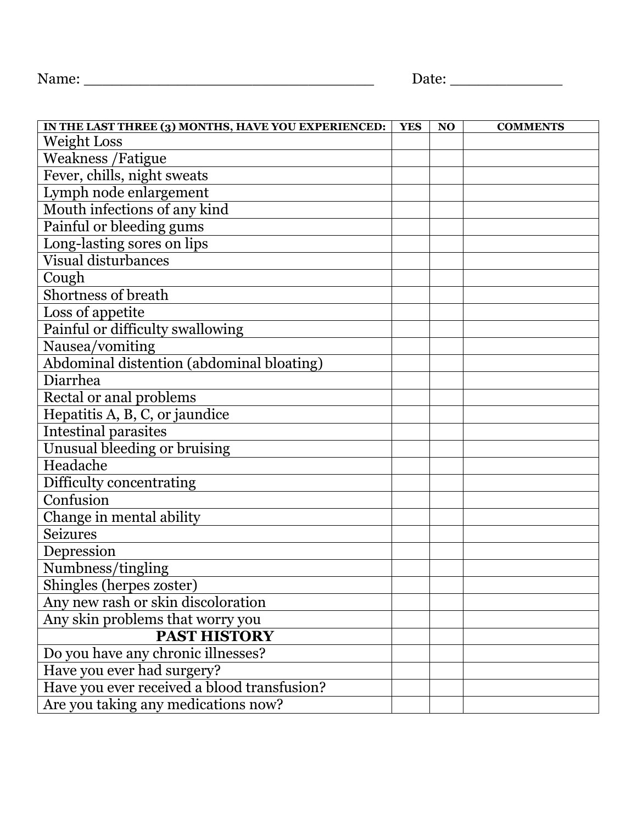| IN THE LAST THREE (3) MONTHS, HAVE YOU EXPERIENCED: | <b>YES</b> | N <sub>O</sub> | <b>COMMENTS</b> |
|-----------------------------------------------------|------------|----------------|-----------------|
| <b>Weight Loss</b>                                  |            |                |                 |
| <b>Weakness /Fatigue</b>                            |            |                |                 |
| Fever, chills, night sweats                         |            |                |                 |
| Lymph node enlargement                              |            |                |                 |
| Mouth infections of any kind                        |            |                |                 |
| Painful or bleeding gums                            |            |                |                 |
| Long-lasting sores on lips                          |            |                |                 |
| <b>Visual disturbances</b>                          |            |                |                 |
| Cough                                               |            |                |                 |
| Shortness of breath                                 |            |                |                 |
| Loss of appetite                                    |            |                |                 |
| Painful or difficulty swallowing                    |            |                |                 |
| Nausea/vomiting                                     |            |                |                 |
| Abdominal distention (abdominal bloating)           |            |                |                 |
| Diarrhea                                            |            |                |                 |
| Rectal or anal problems                             |            |                |                 |
| Hepatitis A, B, C, or jaundice                      |            |                |                 |
| <b>Intestinal parasites</b>                         |            |                |                 |
| Unusual bleeding or bruising                        |            |                |                 |
| Headache                                            |            |                |                 |
| Difficulty concentrating                            |            |                |                 |
| Confusion                                           |            |                |                 |
| Change in mental ability                            |            |                |                 |
| <b>Seizures</b>                                     |            |                |                 |
| Depression                                          |            |                |                 |
| Numbness/tingling                                   |            |                |                 |
| Shingles (herpes zoster)                            |            |                |                 |
| Any new rash or skin discoloration                  |            |                |                 |
| Any skin problems that worry you                    |            |                |                 |
| <b>PAST HISTORY</b>                                 |            |                |                 |
| Do you have any chronic illnesses?                  |            |                |                 |
| Have you ever had surgery?                          |            |                |                 |
| Have you ever received a blood transfusion?         |            |                |                 |
| Are you taking any medications now?                 |            |                |                 |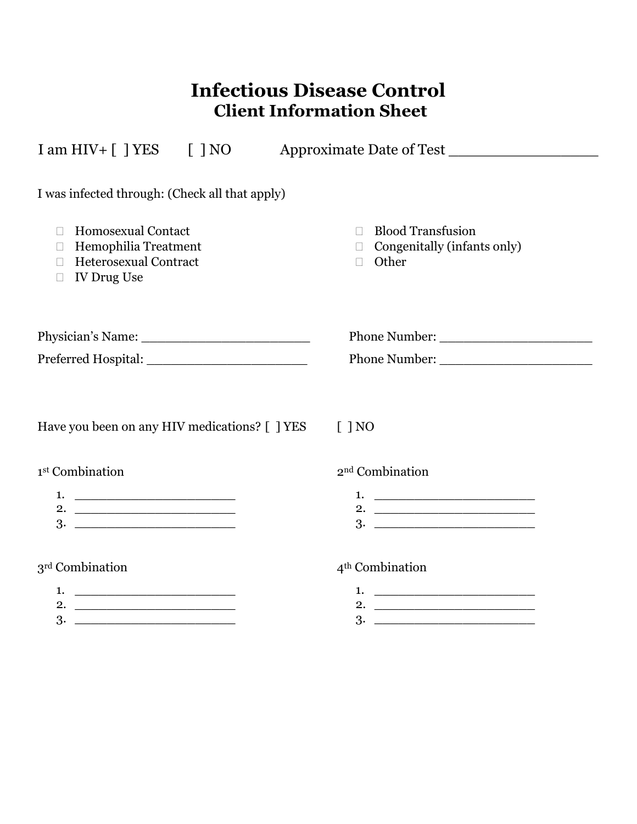# **Infectious Disease Control Client Information Sheet**

| $I \text{ am HIV} + [$ $] \text{YES}$ $[$ $] \text{NO}$                                                              | Approximate Date of Test                                                                    |
|----------------------------------------------------------------------------------------------------------------------|---------------------------------------------------------------------------------------------|
| I was infected through: (Check all that apply)                                                                       |                                                                                             |
| <b>Homosexual Contact</b><br>П<br>Hemophilia Treatment<br>П<br>Heterosexual Contract<br><b>IV Drug Use</b><br>$\Box$ | <b>Blood Transfusion</b><br>$\Box$<br>$\Box$ Congenitally (infants only)<br>Other<br>$\Box$ |
|                                                                                                                      |                                                                                             |
|                                                                                                                      | Phone Number:                                                                               |
| Have you been on any HIV medications? [ ] YES                                                                        | $\lceil$   NO                                                                               |
| 1 <sup>st</sup> Combination                                                                                          | 2 <sup>nd</sup> Combination                                                                 |
| 2. $\overline{\phantom{a} \phantom{a} \phantom{a} \phantom{a} \phantom{a}}$                                          |                                                                                             |
| 3 <sup>rd</sup> Combination                                                                                          | 4 <sup>th</sup> Combination                                                                 |
| 2.                                                                                                                   |                                                                                             |

3. \_\_\_\_\_\_\_\_\_\_\_\_\_\_\_\_\_\_\_\_

3. \_\_\_\_\_\_\_\_\_\_\_\_\_\_\_\_\_\_\_\_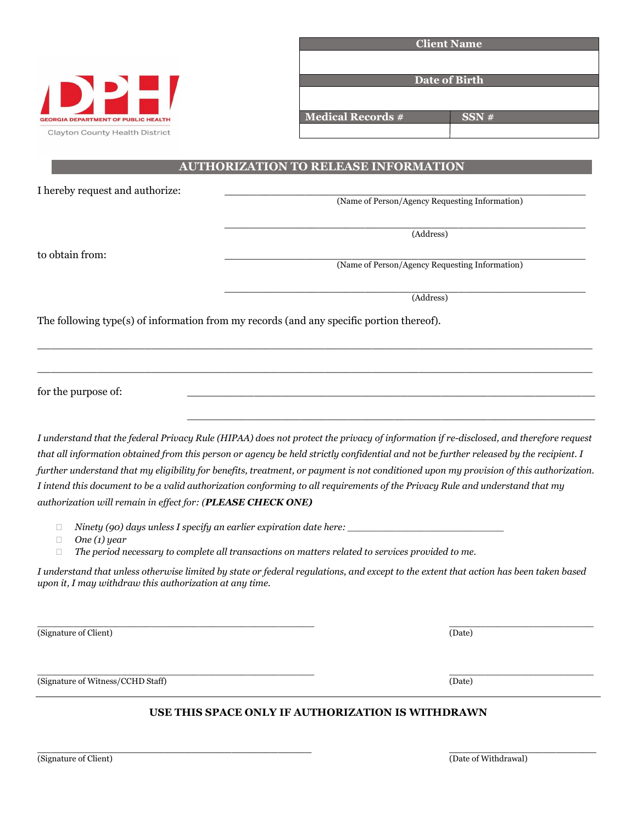| <b>GEORGIA DEPARTMENT OF PUBLIC HEALTH</b> |  |  |
|--------------------------------------------|--|--|
| Clayton County Health District             |  |  |

| <b>Client Name</b>       |      |  |
|--------------------------|------|--|
|                          |      |  |
|                          |      |  |
| Date of Birth            |      |  |
|                          |      |  |
| <b>Medical Records #</b> | SSN# |  |
|                          |      |  |

### **AUTHORIZATION TO RELEASE INFORMATION**

I hereby request and authorize:

(Name of Person/Agency Requesting Information)

\_\_\_\_\_\_\_\_\_\_\_\_\_\_\_\_\_\_\_\_\_\_\_\_\_\_\_\_\_\_\_\_\_\_\_\_\_\_\_\_\_\_\_\_\_\_\_\_\_\_\_\_\_\_ (Address)

to obtain from: \_\_\_\_\_\_\_\_\_\_\_\_\_\_\_\_\_\_\_\_\_\_\_\_\_\_\_\_\_\_\_\_\_\_\_\_\_\_\_\_\_\_\_\_\_\_\_\_\_\_\_\_\_\_

(Name of Person/Agency Requesting Information)

\_\_\_\_\_\_\_\_\_\_\_\_\_\_\_\_\_\_\_\_\_\_\_\_\_\_\_\_\_\_\_\_\_\_\_\_\_\_\_\_\_\_\_\_\_\_\_\_\_\_\_\_\_\_ (Address)

 $\_$  , and the set of the set of the set of the set of the set of the set of the set of the set of the set of the set of the set of the set of the set of the set of the set of the set of the set of the set of the set of th

The following type(s) of information from my records (and any specific portion thereof).

for the purpose of:

*I understand that the federal Privacy Rule (HIPAA) does not protect the privacy of information if re-disclosed, and therefore request that all information obtained from this person or agency be held strictly confidential and not be further released by the recipient. I further understand that my eligibility for benefits, treatment, or payment is not conditioned upon my provision of this authorization. I intend this document to be a valid authorization conforming to all requirements of the Privacy Rule and understand that my authorization will remain in effect for: (PLEASE CHECK ONE)*

\_\_\_\_\_\_\_\_\_\_\_\_\_\_\_\_\_\_\_\_\_\_\_\_\_\_\_\_\_\_\_\_\_\_\_\_\_\_\_\_\_\_\_\_\_\_\_\_\_\_\_\_\_\_\_\_\_\_\_\_\_\_\_\_\_\_\_\_\_\_\_\_\_\_\_\_\_\_\_\_\_\_\_

\_\_\_\_\_\_\_\_\_\_\_\_\_\_\_\_\_\_\_\_\_\_\_\_\_\_\_\_\_\_\_\_\_\_\_\_\_\_\_\_\_\_\_\_\_\_\_\_\_\_\_\_\_\_\_\_\_\_\_\_\_\_\_\_\_\_\_\_\_\_\_\_\_\_\_\_\_\_\_\_\_\_\_

- $\Box$  *Ninety (90) days unless I specify an earlier expiration date here:*
- *One (1) year*
- *The period necessary to complete all transactions on matters related to services provided to me.*

*I understand that unless otherwise limited by state or federal regulations, and except to the extent that action has been taken based upon it, I may withdraw this authorization at any time.*

 $\_$  , and the set of the set of the set of the set of the set of the set of the set of the set of the set of the set of the set of the set of the set of the set of the set of the set of the set of the set of the set of th (Signature of Client) (Date)

(Signature of Witness/CCHD Staff) (Date)

 $\_$  , and the set of the set of the set of the set of the set of the set of the set of the set of the set of the set of the set of the set of the set of the set of the set of the set of the set of the set of the set of th

### **USE THIS SPACE ONLY IF AUTHORIZATION IS WITHDRAWN**

\_\_\_\_\_\_\_\_\_\_\_\_\_\_\_\_\_\_\_\_\_\_\_\_\_\_\_\_\_\_\_\_\_\_\_\_\_\_\_\_\_ \_\_\_\_\_\_\_\_\_\_\_\_\_\_\_\_\_\_\_\_\_\_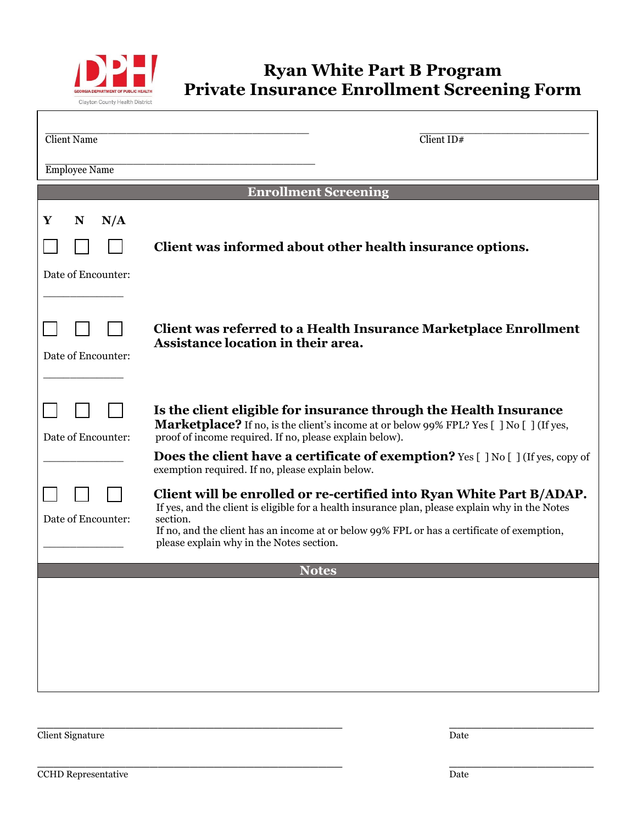

 $\Gamma$ 

## **Ryan White Part B Program Private Insurance Enrollment Screening Form**

٦

| <b>Client Name</b>                  | $\overline{\text{Client ID#}}$                                                                                                                                                                                                                                                                                                |
|-------------------------------------|-------------------------------------------------------------------------------------------------------------------------------------------------------------------------------------------------------------------------------------------------------------------------------------------------------------------------------|
| <b>Employee Name</b>                |                                                                                                                                                                                                                                                                                                                               |
| <b>Enrollment Screening</b>         |                                                                                                                                                                                                                                                                                                                               |
| Y<br>N/A<br>N<br>Date of Encounter: | Client was informed about other health insurance options.                                                                                                                                                                                                                                                                     |
| Date of Encounter:                  | Client was referred to a Health Insurance Marketplace Enrollment<br>Assistance location in their area.                                                                                                                                                                                                                        |
| Date of Encounter:                  | Is the client eligible for insurance through the Health Insurance<br><b>Marketplace?</b> If no, is the client's income at or below 99% FPL? Yes [ ] No [ ] (If yes,<br>proof of income required. If no, please explain below).                                                                                                |
|                                     | <b>Does the client have a certificate of exemption?</b> Yes $\lceil$ ] No $\lceil$ ] (If yes, copy of<br>exemption required. If no, please explain below.                                                                                                                                                                     |
| Date of Encounter:                  | Client will be enrolled or re-certified into Ryan White Part B/ADAP.<br>If yes, and the client is eligible for a health insurance plan, please explain why in the Notes<br>section.<br>If no, and the client has an income at or below 99% FPL or has a certificate of exemption,<br>please explain why in the Notes section. |
| <b>Notes</b>                        |                                                                                                                                                                                                                                                                                                                               |
|                                     |                                                                                                                                                                                                                                                                                                                               |

Client Signature Date

\_\_\_\_\_\_\_\_\_\_\_\_\_\_\_\_\_\_\_\_\_\_\_\_\_\_\_\_\_\_\_\_\_\_\_\_\_\_ \_\_\_\_\_\_\_\_\_\_\_\_\_\_\_\_\_\_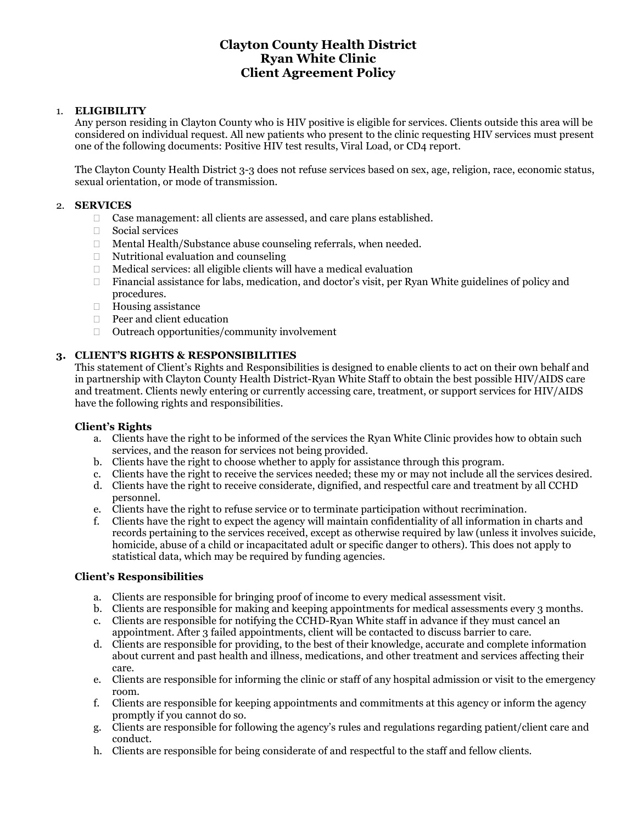### **Clayton County Health District Ryan White Clinic Client Agreement Policy**

### 1. **ELIGIBILITY**

Any person residing in Clayton County who is HIV positive is eligible for services. Clients outside this area will be considered on individual request. All new patients who present to the clinic requesting HIV services must present one of the following documents: Positive HIV test results, Viral Load, or CD4 report.

The Clayton County Health District 3-3 does not refuse services based on sex, age, religion, race, economic status, sexual orientation, or mode of transmission.

#### 2. **SERVICES**

- □ Case management: all clients are assessed, and care plans established.
- $\Box$  Social services
- □ Mental Health/Substance abuse counseling referrals, when needed.
- $\Box$  Nutritional evaluation and counseling
- $\Box$  Medical services: all eligible clients will have a medical evaluation
- $\Box$  Financial assistance for labs, medication, and doctor's visit, per Ryan White guidelines of policy and procedures.
- □ Housing assistance
- Peer and client education
- $\Box$  Outreach opportunities/community involvement

### **3. CLIENT'S RIGHTS & RESPONSIBILITIES**

This statement of Client's Rights and Responsibilities is designed to enable clients to act on their own behalf and in partnership with Clayton County Health District-Ryan White Staff to obtain the best possible HIV/AIDS care and treatment. Clients newly entering or currently accessing care, treatment, or support services for HIV/AIDS have the following rights and responsibilities.

#### **Client's Rights**

- a. Clients have the right to be informed of the services the Ryan White Clinic provides how to obtain such services, and the reason for services not being provided.
- b. Clients have the right to choose whether to apply for assistance through this program.
- c. Clients have the right to receive the services needed; these my or may not include all the services desired.
- d. Clients have the right to receive considerate, dignified, and respectful care and treatment by all CCHD personnel.
- e. Clients have the right to refuse service or to terminate participation without recrimination.
- f. Clients have the right to expect the agency will maintain confidentiality of all information in charts and records pertaining to the services received, except as otherwise required by law (unless it involves suicide, homicide, abuse of a child or incapacitated adult or specific danger to others). This does not apply to statistical data, which may be required by funding agencies.

#### **Client's Responsibilities**

- a. Clients are responsible for bringing proof of income to every medical assessment visit.
- b. Clients are responsible for making and keeping appointments for medical assessments every 3 months. c. Clients are responsible for notifying the CCHD-Ryan White staff in advance if they must cancel an
- appointment. After 3 failed appointments, client will be contacted to discuss barrier to care.
- d. Clients are responsible for providing, to the best of their knowledge, accurate and complete information about current and past health and illness, medications, and other treatment and services affecting their care.
- e. Clients are responsible for informing the clinic or staff of any hospital admission or visit to the emergency room.
- f. Clients are responsible for keeping appointments and commitments at this agency or inform the agency promptly if you cannot do so.
- g. Clients are responsible for following the agency's rules and regulations regarding patient/client care and conduct.
- h. Clients are responsible for being considerate of and respectful to the staff and fellow clients.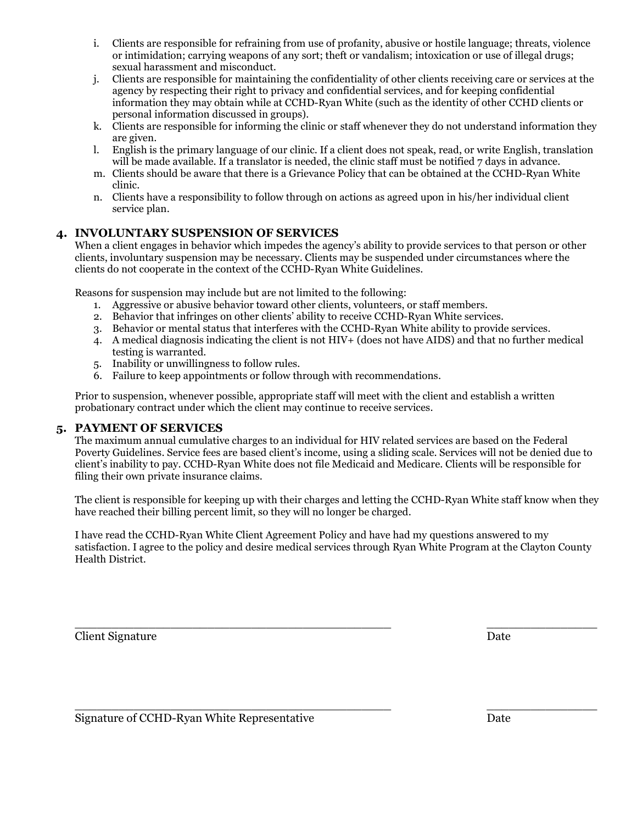- i. Clients are responsible for refraining from use of profanity, abusive or hostile language; threats, violence or intimidation; carrying weapons of any sort; theft or vandalism; intoxication or use of illegal drugs; sexual harassment and misconduct.
- j. Clients are responsible for maintaining the confidentiality of other clients receiving care or services at the agency by respecting their right to privacy and confidential services, and for keeping confidential information they may obtain while at CCHD-Ryan White (such as the identity of other CCHD clients or personal information discussed in groups).
- k. Clients are responsible for informing the clinic or staff whenever they do not understand information they are given.
- l. English is the primary language of our clinic. If a client does not speak, read, or write English, translation will be made available. If a translator is needed, the clinic staff must be notified 7 days in advance.
- m. Clients should be aware that there is a Grievance Policy that can be obtained at the CCHD-Ryan White clinic.
- n. Clients have a responsibility to follow through on actions as agreed upon in his/her individual client service plan.

### **4. INVOLUNTARY SUSPENSION OF SERVICES**

When a client engages in behavior which impedes the agency's ability to provide services to that person or other clients, involuntary suspension may be necessary. Clients may be suspended under circumstances where the clients do not cooperate in the context of the CCHD-Ryan White Guidelines.

Reasons for suspension may include but are not limited to the following:

- 1. Aggressive or abusive behavior toward other clients, volunteers, or staff members.
- 2. Behavior that infringes on other clients' ability to receive CCHD-Ryan White services.
- 3. Behavior or mental status that interferes with the CCHD-Ryan White ability to provide services.
- 4. A medical diagnosis indicating the client is not HIV+ (does not have AIDS) and that no further medical testing is warranted.
- 5. Inability or unwillingness to follow rules.
- 6. Failure to keep appointments or follow through with recommendations.

Prior to suspension, whenever possible, appropriate staff will meet with the client and establish a written probationary contract under which the client may continue to receive services.

### **5. PAYMENT OF SERVICES**

The maximum annual cumulative charges to an individual for HIV related services are based on the Federal Poverty Guidelines. Service fees are based client's income, using a sliding scale. Services will not be denied due to client's inability to pay. CCHD-Ryan White does not file Medicaid and Medicare. Clients will be responsible for filing their own private insurance claims.

The client is responsible for keeping up with their charges and letting the CCHD-Ryan White staff know when they have reached their billing percent limit, so they will no longer be charged.

I have read the CCHD-Ryan White Client Agreement Policy and have had my questions answered to my satisfaction. I agree to the policy and desire medical services through Ryan White Program at the Clayton County Health District.

 $\overline{\phantom{a}}$  , and the contract of the contract of the contract of the contract of the contract of the contract of the contract of the contract of the contract of the contract of the contract of the contract of the contrac

**Client Signature** Date

 $\_$  , and the set of the set of the set of the set of the set of the set of the set of the set of the set of the set of the set of the set of the set of the set of the set of the set of the set of the set of the set of th Signature of CCHD-Ryan White Representative Date